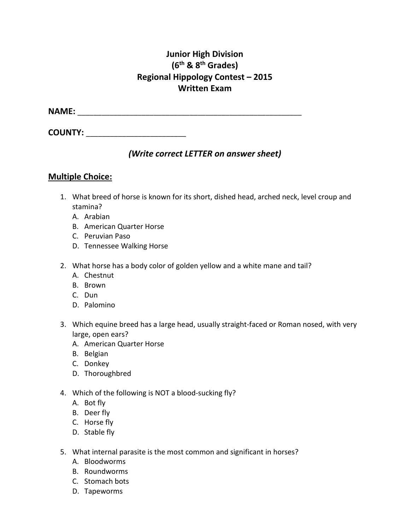## **Junior High Division (6th & 8th Grades) Regional Hippology Contest – 2015 Written Exam**

**NAME:** \_\_\_\_\_\_\_\_\_\_\_\_\_\_\_\_\_\_\_\_\_\_\_\_\_\_\_\_\_\_\_\_\_\_\_\_\_\_\_\_\_\_\_\_\_\_\_\_\_\_\_\_\_\_\_\_

**COUNTY:**  $\blacksquare$ 

### *(Write correct LETTER on answer sheet)*

#### **Multiple Choice:**

- 1. What breed of horse is known for its short, dished head, arched neck, level croup and stamina?
	- A. Arabian
	- B. American Quarter Horse
	- C. Peruvian Paso
	- D. Tennessee Walking Horse
- 2. What horse has a body color of golden yellow and a white mane and tail?
	- A. Chestnut
	- B. Brown
	- C. Dun
	- D. Palomino
- 3. Which equine breed has a large head, usually straight-faced or Roman nosed, with very large, open ears?
	- A. American Quarter Horse
	- B. Belgian
	- C. Donkey
	- D. Thoroughbred
- 4. Which of the following is NOT a blood-sucking fly?
	- A. Bot fly
	- B. Deer fly
	- C. Horse fly
	- D. Stable fly
- 5. What internal parasite is the most common and significant in horses?
	- A. Bloodworms
	- B. Roundworms
	- C. Stomach bots
	- D. Tapeworms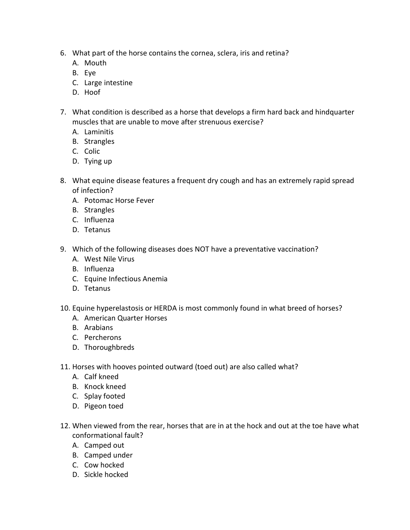- 6. What part of the horse contains the cornea, sclera, iris and retina?
	- A. Mouth
	- B. Eye
	- C. Large intestine
	- D. Hoof
- 7. What condition is described as a horse that develops a firm hard back and hindquarter muscles that are unable to move after strenuous exercise?
	- A. Laminitis
	- B. Strangles
	- C. Colic
	- D. Tying up
- 8. What equine disease features a frequent dry cough and has an extremely rapid spread of infection?
	- A. Potomac Horse Fever
	- B. Strangles
	- C. Influenza
	- D. Tetanus
- 9. Which of the following diseases does NOT have a preventative vaccination?
	- A. West Nile Virus
	- B. Influenza
	- C. Equine Infectious Anemia
	- D. Tetanus
- 10. Equine hyperelastosis or HERDA is most commonly found in what breed of horses?
	- A. American Quarter Horses
	- B. Arabians
	- C. Percherons
	- D. Thoroughbreds
- 11. Horses with hooves pointed outward (toed out) are also called what?
	- A. Calf kneed
	- B. Knock kneed
	- C. Splay footed
	- D. Pigeon toed
- 12. When viewed from the rear, horses that are in at the hock and out at the toe have what conformational fault?
	- A. Camped out
	- B. Camped under
	- C. Cow hocked
	- D. Sickle hocked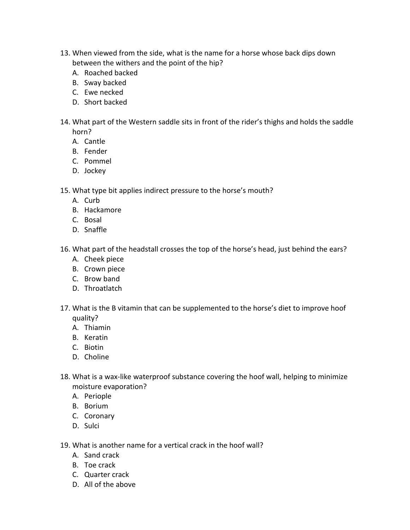- 13. When viewed from the side, what is the name for a horse whose back dips down between the withers and the point of the hip?
	- A. Roached backed
	- B. Sway backed
	- C. Ewe necked
	- D. Short backed
- 14. What part of the Western saddle sits in front of the rider's thighs and holds the saddle horn?
	- A. Cantle
	- B. Fender
	- C. Pommel
	- D. Jockey
- 15. What type bit applies indirect pressure to the horse's mouth?
	- A. Curb
	- B. Hackamore
	- C. Bosal
	- D. Snaffle
- 16. What part of the headstall crosses the top of the horse's head, just behind the ears?
	- A. Cheek piece
	- B. Crown piece
	- C. Brow band
	- D. Throatlatch
- 17. What is the B vitamin that can be supplemented to the horse's diet to improve hoof quality?
	- A. Thiamin
	- B. Keratin
	- C. Biotin
	- D. Choline
- 18. What is a wax-like waterproof substance covering the hoof wall, helping to minimize moisture evaporation?
	- A. Periople
	- B. Borium
	- C. Coronary
	- D. Sulci
- 19. What is another name for a vertical crack in the hoof wall?
	- A. Sand crack
	- B. Toe crack
	- C. Quarter crack
	- D. All of the above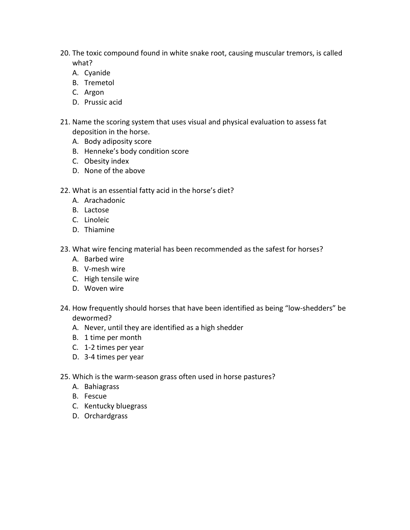- 20. The toxic compound found in white snake root, causing muscular tremors, is called what?
	- A. Cyanide
	- B. Tremetol
	- C. Argon
	- D. Prussic acid
- 21. Name the scoring system that uses visual and physical evaluation to assess fat deposition in the horse.
	- A. Body adiposity score
	- B. Henneke's body condition score
	- C. Obesity index
	- D. None of the above
- 22. What is an essential fatty acid in the horse's diet?
	- A. Arachadonic
	- B. Lactose
	- C. Linoleic
	- D. Thiamine
- 23. What wire fencing material has been recommended as the safest for horses?
	- A. Barbed wire
	- B. V-mesh wire
	- C. High tensile wire
	- D. Woven wire
- 24. How frequently should horses that have been identified as being "low-shedders" be dewormed?
	- A. Never, until they are identified as a high shedder
	- B. 1 time per month
	- C. 1-2 times per year
	- D. 3-4 times per year
- 25. Which is the warm-season grass often used in horse pastures?
	- A. Bahiagrass
	- B. Fescue
	- C. Kentucky bluegrass
	- D. Orchardgrass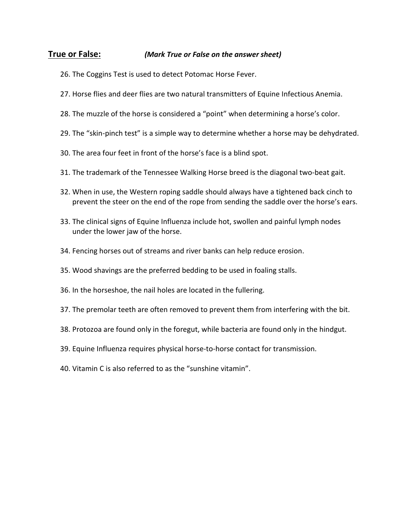#### **True or False:** *(Mark True or False on the answer sheet)*

- 26. The Coggins Test is used to detect Potomac Horse Fever.
- 27. Horse flies and deer flies are two natural transmitters of Equine Infectious Anemia.
- 28. The muzzle of the horse is considered a "point" when determining a horse's color.
- 29. The "skin-pinch test" is a simple way to determine whether a horse may be dehydrated.
- 30. The area four feet in front of the horse's face is a blind spot.
- 31. The trademark of the Tennessee Walking Horse breed is the diagonal two-beat gait.
- 32. When in use, the Western roping saddle should always have a tightened back cinch to prevent the steer on the end of the rope from sending the saddle over the horse's ears.
- 33. The clinical signs of Equine Influenza include hot, swollen and painful lymph nodes under the lower jaw of the horse.
- 34. Fencing horses out of streams and river banks can help reduce erosion.
- 35. Wood shavings are the preferred bedding to be used in foaling stalls.
- 36. In the horseshoe, the nail holes are located in the fullering.
- 37. The premolar teeth are often removed to prevent them from interfering with the bit.
- 38. Protozoa are found only in the foregut, while bacteria are found only in the hindgut.
- 39. Equine Influenza requires physical horse-to-horse contact for transmission.
- 40. Vitamin C is also referred to as the "sunshine vitamin".